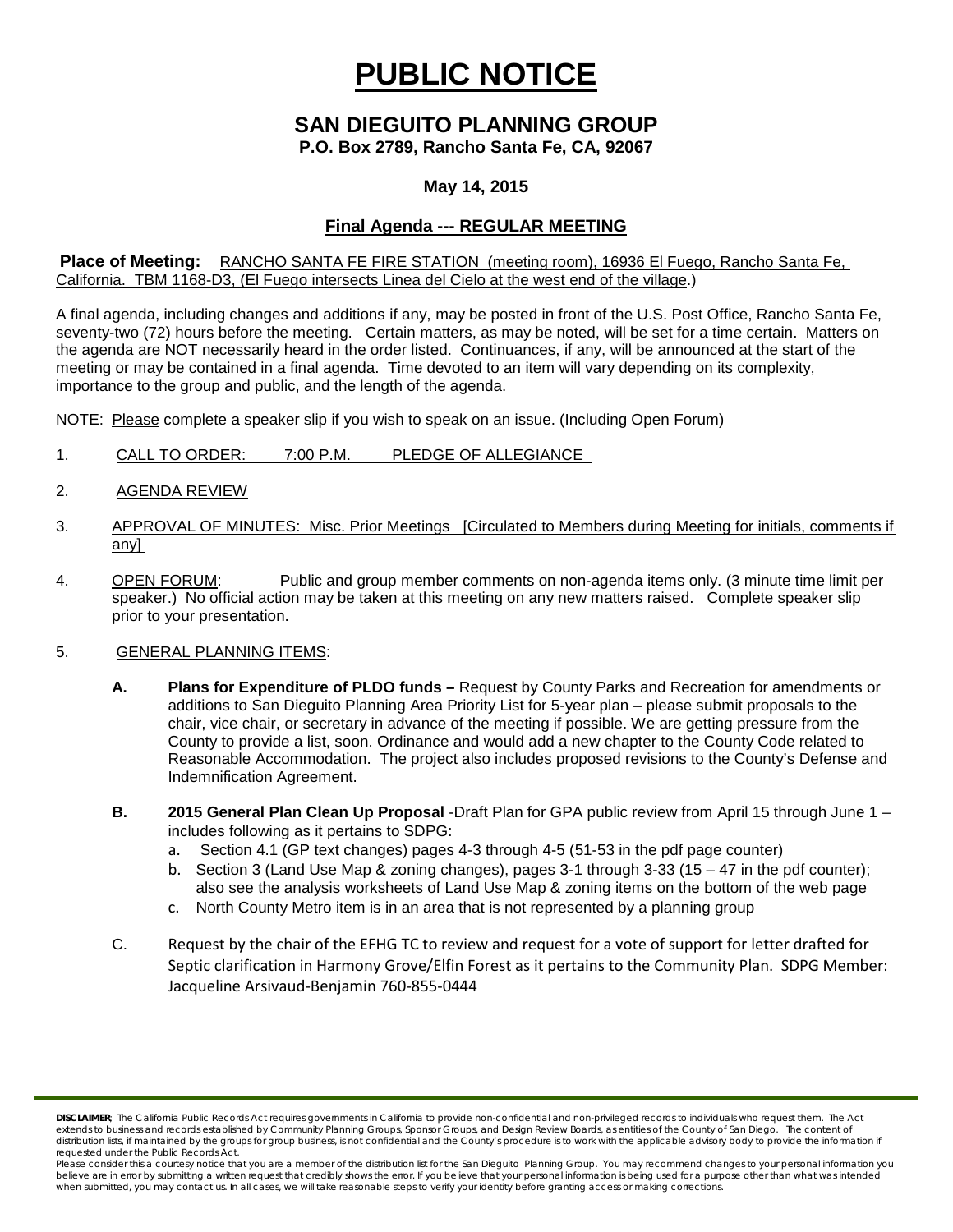# **PUBLIC NOTICE**

# **SAN DIEGUITO PLANNING GROUP**

**P.O. Box 2789, Rancho Santa Fe, CA, 92067**

## **May 14, 2015**

# **Final Agenda --- REGULAR MEETING**

#### **Place of Meeting:** RANCHO SANTA FE FIRE STATION (meeting room), 16936 El Fuego, Rancho Santa Fe, California. TBM 1168-D3, (El Fuego intersects Linea del Cielo at the west end of the village.)

A final agenda, including changes and additions if any, may be posted in front of the U.S. Post Office, Rancho Santa Fe, seventy-two (72) hours before the meeting. Certain matters, as may be noted, will be set for a time certain. Matters on the agenda are NOT necessarily heard in the order listed. Continuances, if any, will be announced at the start of the meeting or may be contained in a final agenda. Time devoted to an item will vary depending on its complexity, importance to the group and public, and the length of the agenda.

NOTE: Please complete a speaker slip if you wish to speak on an issue. (Including Open Forum)

- 1. CALL TO ORDER: 7:00 P.M. PLEDGE OF ALLEGIANCE
- 2. AGENDA REVIEW
- 3. APPROVAL OF MINUTES: Misc. Prior Meetings [Circulated to Members during Meeting for initials, comments if any]
- 4. OPEN FORUM: Public and group member comments on non-agenda items only. (3 minute time limit per speaker.) No official action may be taken at this meeting on any new matters raised. Complete speaker slip prior to your presentation.

#### 5. GENERAL PLANNING ITEMS:

- **A. Plans for Expenditure of PLDO funds –** Request by County Parks and Recreation for amendments or additions to San Dieguito Planning Area Priority List for 5-year plan – please submit proposals to the chair, vice chair, or secretary in advance of the meeting if possible. We are getting pressure from the County to provide a list, soon. Ordinance and would add a new chapter to the County Code related to Reasonable Accommodation. The project also includes proposed revisions to the County's Defense and Indemnification Agreement.
- **B. 2015 General Plan Clean Up Proposal** -Draft Plan for GPA public review from April 15 through June 1 includes following as it pertains to SDPG:
	- a. Section 4.1 (GP text changes) pages 4-3 through 4-5 (51-53 in the pdf page counter)
	- b. Section 3 (Land Use Map & zoning changes), pages 3-1 through 3-33 (15 47 in the pdf counter); also see the analysis worksheets of Land Use Map & zoning items on the bottom of the web page
	- c. North County Metro item is in an area that is not represented by a planning group
- C. Request by the chair of the EFHG TC to review and request for a vote of support for letter drafted for Septic clarification in Harmony Grove/Elfin Forest as it pertains to the Community Plan. SDPG Member: Jacqueline Arsivaud-Benjamin 760-855-0444

*DISCLAIMER; The California Public Records Act requires governments in California to provide non-confidential and non-privileged records to individuals who request them. The Act*  extends to business and records established by Community Planning Groups, Sponsor Groups, and Design Review Boards, as entities of the County of San Diego. The content of distribution lists, if maintained by the groups for group business, is not confidential and the County's procedure is to work with the applicable advisory body to provide the information if *requested under the Public Records Act.*

Please consider this a courtesy notice that you are a member of the distribution list for the San Dieguito Planning Group. You may recommend changes to your personal information you believe are in error by submitting a written request that credibly shows the error. If you believe that your personal information is being used for a purpose other than what was intended<br>when submitted, you may contact us.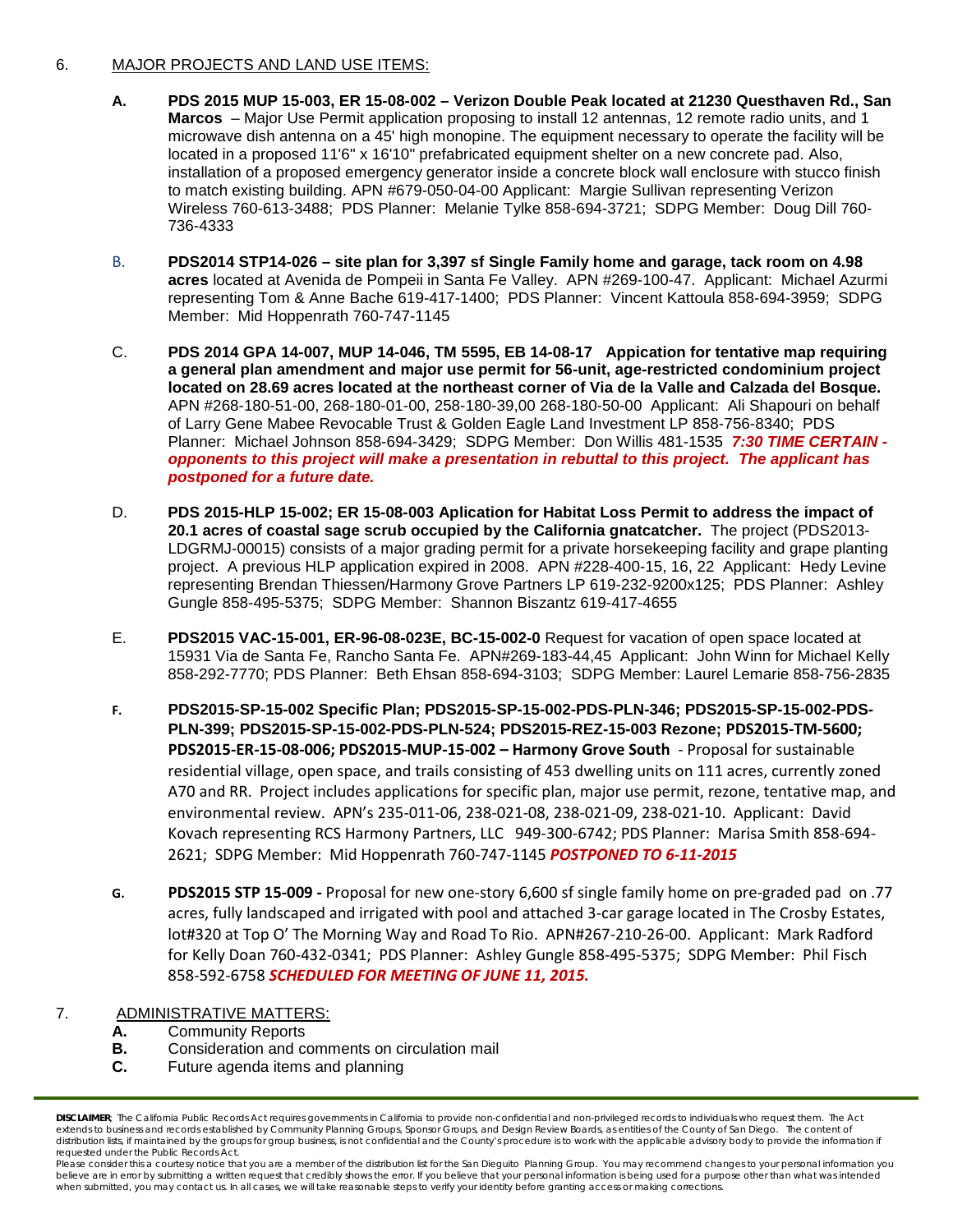#### 6. MAJOR PROJECTS AND LAND USE ITEMS:

- **A. PDS 2015 MUP 15-003, ER 15-08-002 – Verizon Double Peak located at 21230 Questhaven Rd., San Marcos** – Major Use Permit application proposing to install 12 antennas, 12 remote radio units, and 1 microwave dish antenna on a 45' high monopine. The equipment necessary to operate the facility will be located in a proposed 11'6" x 16'10" prefabricated equipment shelter on a new concrete pad. Also, installation of a proposed emergency generator inside a concrete block wall enclosure with stucco finish to match existing building. APN #679-050-04-00 Applicant: Margie Sullivan representing Verizon Wireless 760-613-3488; PDS Planner: Melanie Tylke 858-694-3721; SDPG Member: Doug Dill 760- 736-4333
- B. **PDS2014 STP14-026 – site plan for 3,397 sf Single Family home and garage, tack room on 4.98 acres** located at Avenida de Pompeii in Santa Fe Valley. APN #269-100-47. Applicant: Michael Azurmi representing Tom & Anne Bache 619-417-1400; PDS Planner: Vincent Kattoula 858-694-3959; SDPG Member: Mid Hoppenrath 760-747-1145
- C. **PDS 2014 GPA 14-007, MUP 14-046, TM 5595, EB 14-08-17 Appication for tentative map requiring a general plan amendment and major use permit for 56-unit, age-restricted condominium project located on 28.69 acres located at the northeast corner of Via de la Valle and Calzada del Bosque.**  APN #268-180-51-00, 268-180-01-00, 258-180-39,00 268-180-50-00 Applicant: Ali Shapouri on behalf of Larry Gene Mabee Revocable Trust & Golden Eagle Land Investment LP 858-756-8340; PDS Planner: Michael Johnson 858-694-3429; SDPG Member: Don Willis 481-1535 *7:30 TIME CERTAIN opponents to this project will make a presentation in rebuttal to this project. The applicant has postponed for a future date.*
- D. **PDS 2015-HLP 15-002; ER 15-08-003 Aplication for Habitat Loss Permit to address the impact of 20.1 acres of coastal sage scrub occupied by the California gnatcatcher.** The project (PDS2013- LDGRMJ-00015) consists of a major grading permit for a private horsekeeping facility and grape planting project. A previous HLP application expired in 2008. APN #228-400-15, 16, 22 Applicant: Hedy Levine representing Brendan Thiessen/Harmony Grove Partners LP 619-232-9200x125; PDS Planner: Ashley Gungle 858-495-5375; SDPG Member: Shannon Biszantz 619-417-4655
- E. **PDS2015 VAC-15-001, ER-96-08-023E, BC-15-002-0** Request for vacation of open space located at 15931 Via de Santa Fe, Rancho Santa Fe. APN#269-183-44,45 Applicant: John Winn for Michael Kelly 858-292-7770; PDS Planner: Beth Ehsan 858-694-3103; SDPG Member: Laurel Lemarie 858-756-2835
- **F. PDS2015-SP-15-002 Specific Plan; PDS2015-SP-15-002-PDS-PLN-346; PDS2015-SP-15-002-PDS-PLN-399; PDS2015-SP-15-002-PDS-PLN-524; PDS2015-REZ-15-003 Rezone; PDS2015-TM-5600; PDS2015-ER-15-08-006; PDS2015-MUP-15-002 – Harmony Grove South** - Proposal for sustainable residential village, open space, and trails consisting of 453 dwelling units on 111 acres, currently zoned A70 and RR. Project includes applications for specific plan, major use permit, rezone, tentative map, and environmental review. APN's 235-011-06, 238-021-08, 238-021-09, 238-021-10. Applicant: David Kovach representing RCS Harmony Partners, LLC 949-300-6742; PDS Planner: Marisa Smith 858-694- 2621; SDPG Member: Mid Hoppenrath 760-747-1145 *POSTPONED TO 6-11-2015*
- **G. PDS2015 STP 15-009 -** Proposal for new one-story 6,600 sf single family home on pre-graded pad on .77 acres, fully landscaped and irrigated with pool and attached 3-car garage located in The Crosby Estates, lot#320 at Top O' The Morning Way and Road To Rio. APN#267-210-26-00. Applicant: Mark Radford for Kelly Doan 760-432-0341; PDS Planner: Ashley Gungle 858-495-5375; SDPG Member: Phil Fisch 858-592-6758 *SCHEDULED FOR MEETING OF JUNE 11, 2015.*

### 7. ADMINISTRATIVE MATTERS:

- **A.** Community Reports<br>**B.** Consideration and com-
- **B.** Consideration and comments on circulation mail
- **C.** Future agenda items and planning

*DISCLAIMER; The California Public Records Act requires governments in California to provide non-confidential and non-privileged records to individuals who request them. The Act*  extends to business and records established by Community Planning Groups, Sponsor Groups, and Design Review Boards, as entities of the County of San Diego. The content of distribution lists, if maintained by the groups for group business, is not confidential and the County's procedure is to work with the applicable advisory body to provide the information if *requested under the Public Records Act.*

Please consider this a courtesy notice that you are a member of the distribution list for the San Dieguito Planning Group. You may recommend changes to your personal information you believe are in error by submitting a written request that credibly shows the error. If you believe that your personal information is being used for a purpose other than what was intended<br>when submitted, you may contact us.